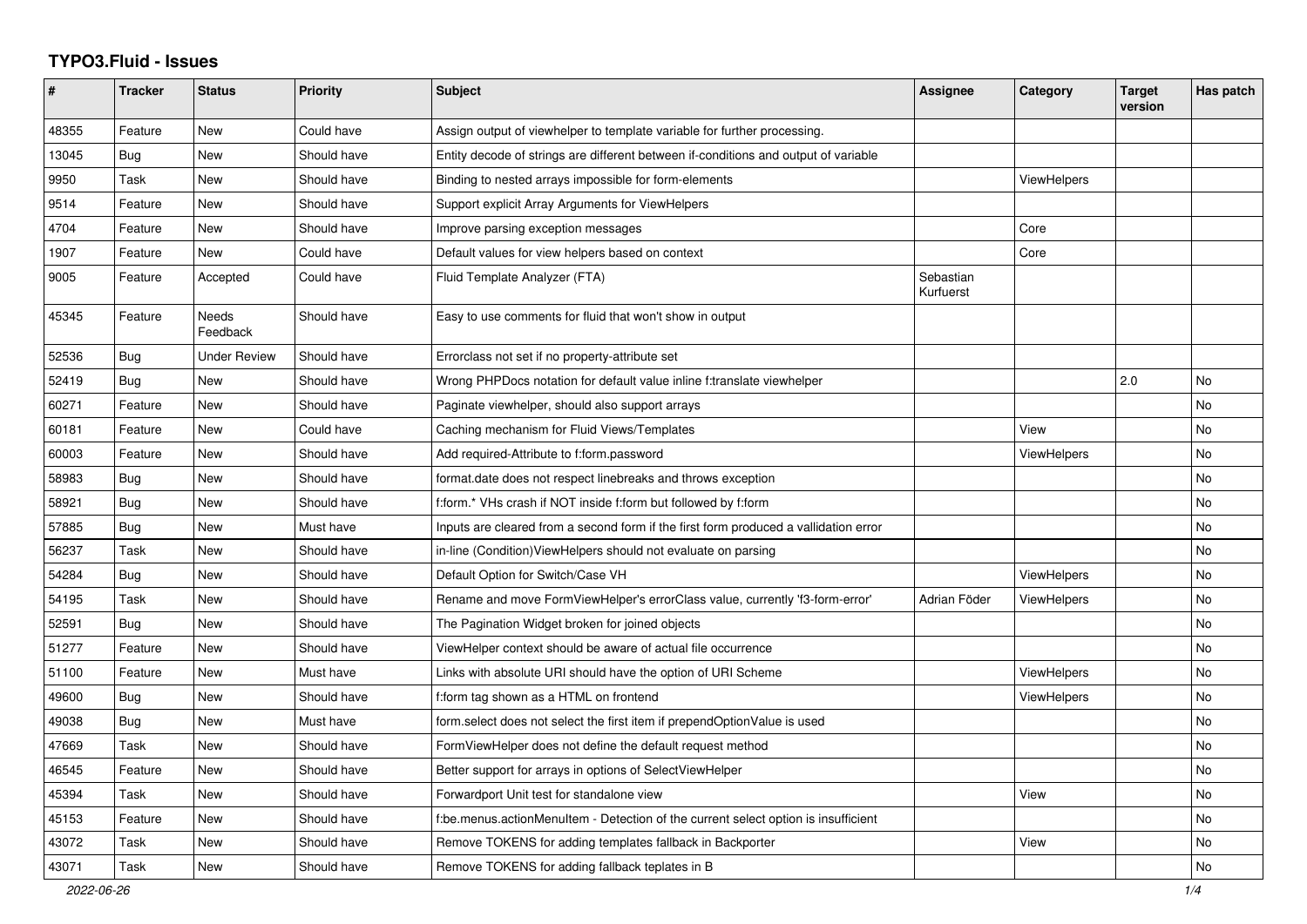## **TYPO3.Fluid - Issues**

| #     | <b>Tracker</b> | <b>Status</b>       | <b>Priority</b> | <b>Subject</b>                                                                       | Assignee               | Category           | <b>Target</b><br>version | Has patch |
|-------|----------------|---------------------|-----------------|--------------------------------------------------------------------------------------|------------------------|--------------------|--------------------------|-----------|
| 48355 | Feature        | New                 | Could have      | Assign output of viewhelper to template variable for further processing.             |                        |                    |                          |           |
| 13045 | Bug            | New                 | Should have     | Entity decode of strings are different between if-conditions and output of variable  |                        |                    |                          |           |
| 9950  | Task           | New                 | Should have     | Binding to nested arrays impossible for form-elements                                |                        | <b>ViewHelpers</b> |                          |           |
| 9514  | Feature        | New                 | Should have     | Support explicit Array Arguments for ViewHelpers                                     |                        |                    |                          |           |
| 4704  | Feature        | New                 | Should have     | Improve parsing exception messages                                                   |                        | Core               |                          |           |
| 1907  | Feature        | New                 | Could have      | Default values for view helpers based on context                                     |                        | Core               |                          |           |
| 9005  | Feature        | Accepted            | Could have      | Fluid Template Analyzer (FTA)                                                        | Sebastian<br>Kurfuerst |                    |                          |           |
| 45345 | Feature        | Needs<br>Feedback   | Should have     | Easy to use comments for fluid that won't show in output                             |                        |                    |                          |           |
| 52536 | Bug            | <b>Under Review</b> | Should have     | Errorclass not set if no property-attribute set                                      |                        |                    |                          |           |
| 52419 | Bug            | New                 | Should have     | Wrong PHPDocs notation for default value inline f:translate viewhelper               |                        |                    | 2.0                      | <b>No</b> |
| 60271 | Feature        | New                 | Should have     | Paginate viewhelper, should also support arrays                                      |                        |                    |                          | No        |
| 60181 | Feature        | <b>New</b>          | Could have      | Caching mechanism for Fluid Views/Templates                                          |                        | View               |                          | <b>No</b> |
| 60003 | Feature        | New                 | Should have     | Add required-Attribute to f:form.password                                            |                        | ViewHelpers        |                          | No        |
| 58983 | Bug            | New                 | Should have     | format.date does not respect linebreaks and throws exception                         |                        |                    |                          | No        |
| 58921 | Bug            | New                 | Should have     | f:form.* VHs crash if NOT inside f:form but followed by f:form                       |                        |                    |                          | No        |
| 57885 | Bug            | New                 | Must have       | Inputs are cleared from a second form if the first form produced a vallidation error |                        |                    |                          | No        |
| 56237 | Task           | New                 | Should have     | in-line (Condition) View Helpers should not evaluate on parsing                      |                        |                    |                          | No        |
| 54284 | Bug            | New                 | Should have     | Default Option for Switch/Case VH                                                    |                        | ViewHelpers        |                          | No        |
| 54195 | Task           | New                 | Should have     | Rename and move FormViewHelper's errorClass value, currently 'f3-form-error'         | Adrian Föder           | <b>ViewHelpers</b> |                          | No        |
| 52591 | Bug            | <b>New</b>          | Should have     | The Pagination Widget broken for joined objects                                      |                        |                    |                          | <b>No</b> |
| 51277 | Feature        | New                 | Should have     | ViewHelper context should be aware of actual file occurrence                         |                        |                    |                          | <b>No</b> |
| 51100 | Feature        | New                 | Must have       | Links with absolute URI should have the option of URI Scheme                         |                        | ViewHelpers        |                          | No        |
| 49600 | Bug            | New                 | Should have     | f:form tag shown as a HTML on frontend                                               |                        | ViewHelpers        |                          | No        |
| 49038 | <b>Bug</b>     | New                 | Must have       | form.select does not select the first item if prependOptionValue is used             |                        |                    |                          | No        |
| 47669 | Task           | New                 | Should have     | FormViewHelper does not define the default request method                            |                        |                    |                          | No        |
| 46545 | Feature        | New                 | Should have     | Better support for arrays in options of SelectViewHelper                             |                        |                    |                          | No        |
| 45394 | Task           | New                 | Should have     | Forwardport Unit test for standalone view                                            |                        | View               |                          | No        |
| 45153 | Feature        | New                 | Should have     | f:be.menus.actionMenuItem - Detection of the current select option is insufficient   |                        |                    |                          | No        |
| 43072 | Task           | <b>New</b>          | Should have     | Remove TOKENS for adding templates fallback in Backporter                            |                        | View               |                          | No        |
| 43071 | Task           | New                 | Should have     | Remove TOKENS for adding fallback teplates in B                                      |                        |                    |                          | No        |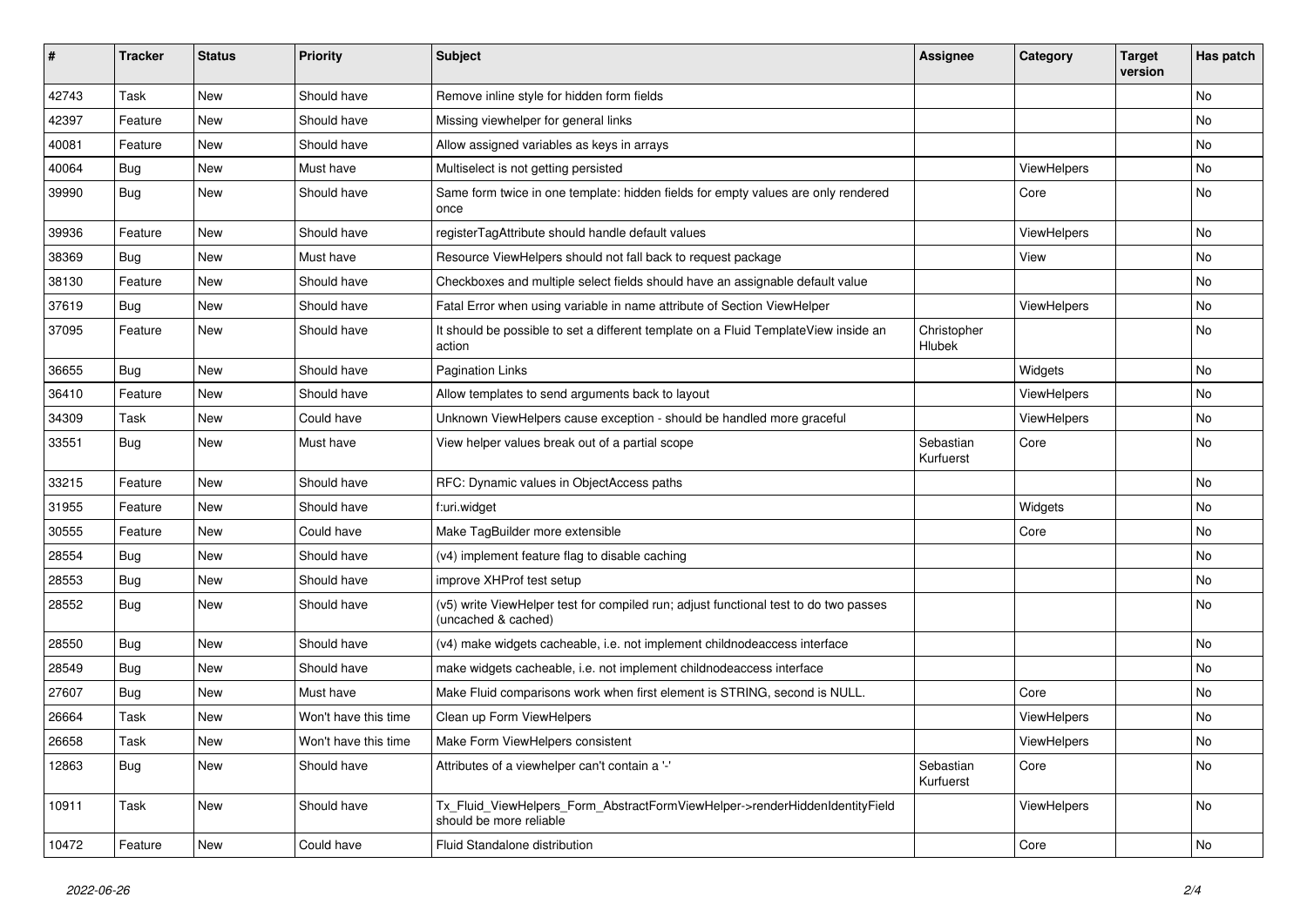| #     | <b>Tracker</b> | <b>Status</b> | <b>Priority</b>      | <b>Subject</b>                                                                                              | <b>Assignee</b>        | Category           | Target<br>version | Has patch |
|-------|----------------|---------------|----------------------|-------------------------------------------------------------------------------------------------------------|------------------------|--------------------|-------------------|-----------|
| 42743 | Task           | New           | Should have          | Remove inline style for hidden form fields                                                                  |                        |                    |                   | <b>No</b> |
| 42397 | Feature        | New           | Should have          | Missing viewhelper for general links                                                                        |                        |                    |                   | <b>No</b> |
| 40081 | Feature        | New           | Should have          | Allow assigned variables as keys in arrays                                                                  |                        |                    |                   | No        |
| 40064 | <b>Bug</b>     | <b>New</b>    | Must have            | Multiselect is not getting persisted                                                                        |                        | ViewHelpers        |                   | No        |
| 39990 | Bug            | New           | Should have          | Same form twice in one template: hidden fields for empty values are only rendered<br>once                   |                        | Core               |                   | No        |
| 39936 | Feature        | <b>New</b>    | Should have          | registerTagAttribute should handle default values                                                           |                        | ViewHelpers        |                   | No        |
| 38369 | Bug            | New           | Must have            | Resource ViewHelpers should not fall back to request package                                                |                        | View               |                   | No        |
| 38130 | Feature        | <b>New</b>    | Should have          | Checkboxes and multiple select fields should have an assignable default value                               |                        |                    |                   | <b>No</b> |
| 37619 | Bug            | New           | Should have          | Fatal Error when using variable in name attribute of Section ViewHelper                                     |                        | ViewHelpers        |                   | No        |
| 37095 | Feature        | <b>New</b>    | Should have          | It should be possible to set a different template on a Fluid TemplateView inside an<br>action               | Christopher<br>Hlubek  |                    |                   | <b>No</b> |
| 36655 | Bug            | <b>New</b>    | Should have          | <b>Pagination Links</b>                                                                                     |                        | Widgets            |                   | <b>No</b> |
| 36410 | Feature        | <b>New</b>    | Should have          | Allow templates to send arguments back to layout                                                            |                        | <b>ViewHelpers</b> |                   | <b>No</b> |
| 34309 | Task           | New           | Could have           | Unknown ViewHelpers cause exception - should be handled more graceful                                       |                        | <b>ViewHelpers</b> |                   | No        |
| 33551 | Bug            | New           | Must have            | View helper values break out of a partial scope                                                             | Sebastian<br>Kurfuerst | Core               |                   | <b>No</b> |
| 33215 | Feature        | New           | Should have          | RFC: Dynamic values in ObjectAccess paths                                                                   |                        |                    |                   | No        |
| 31955 | Feature        | <b>New</b>    | Should have          | f:uri.widget                                                                                                |                        | Widgets            |                   | <b>No</b> |
| 30555 | Feature        | New           | Could have           | Make TagBuilder more extensible                                                                             |                        | Core               |                   | <b>No</b> |
| 28554 | <b>Bug</b>     | New           | Should have          | (v4) implement feature flag to disable caching                                                              |                        |                    |                   | <b>No</b> |
| 28553 | <b>Bug</b>     | New           | Should have          | improve XHProf test setup                                                                                   |                        |                    |                   | <b>No</b> |
| 28552 | Bug            | New           | Should have          | (v5) write ViewHelper test for compiled run; adjust functional test to do two passes<br>(uncached & cached) |                        |                    |                   | <b>No</b> |
| 28550 | Bug            | <b>New</b>    | Should have          | (v4) make widgets cacheable, i.e. not implement childnodeaccess interface                                   |                        |                    |                   | No        |
| 28549 | <b>Bug</b>     | New           | Should have          | make widgets cacheable, i.e. not implement childnodeaccess interface                                        |                        |                    |                   | No        |
| 27607 | <b>Bug</b>     | <b>New</b>    | Must have            | Make Fluid comparisons work when first element is STRING, second is NULL.                                   |                        | Core               |                   | No        |
| 26664 | Task           | New           | Won't have this time | Clean up Form ViewHelpers                                                                                   |                        | ViewHelpers        |                   | No        |
| 26658 | Task           | New           | Won't have this time | Make Form ViewHelpers consistent                                                                            |                        | <b>ViewHelpers</b> |                   | <b>No</b> |
| 12863 | Bug            | New           | Should have          | Attributes of a viewhelper can't contain a '-'                                                              | Sebastian<br>Kurfuerst | Core               |                   | <b>No</b> |
| 10911 | Task           | New           | Should have          | Tx Fluid ViewHelpers Form AbstractFormViewHelper->renderHiddenIdentityField<br>should be more reliable      |                        | <b>ViewHelpers</b> |                   | <b>No</b> |
| 10472 | Feature        | <b>New</b>    | Could have           | Fluid Standalone distribution                                                                               |                        | Core               |                   | <b>No</b> |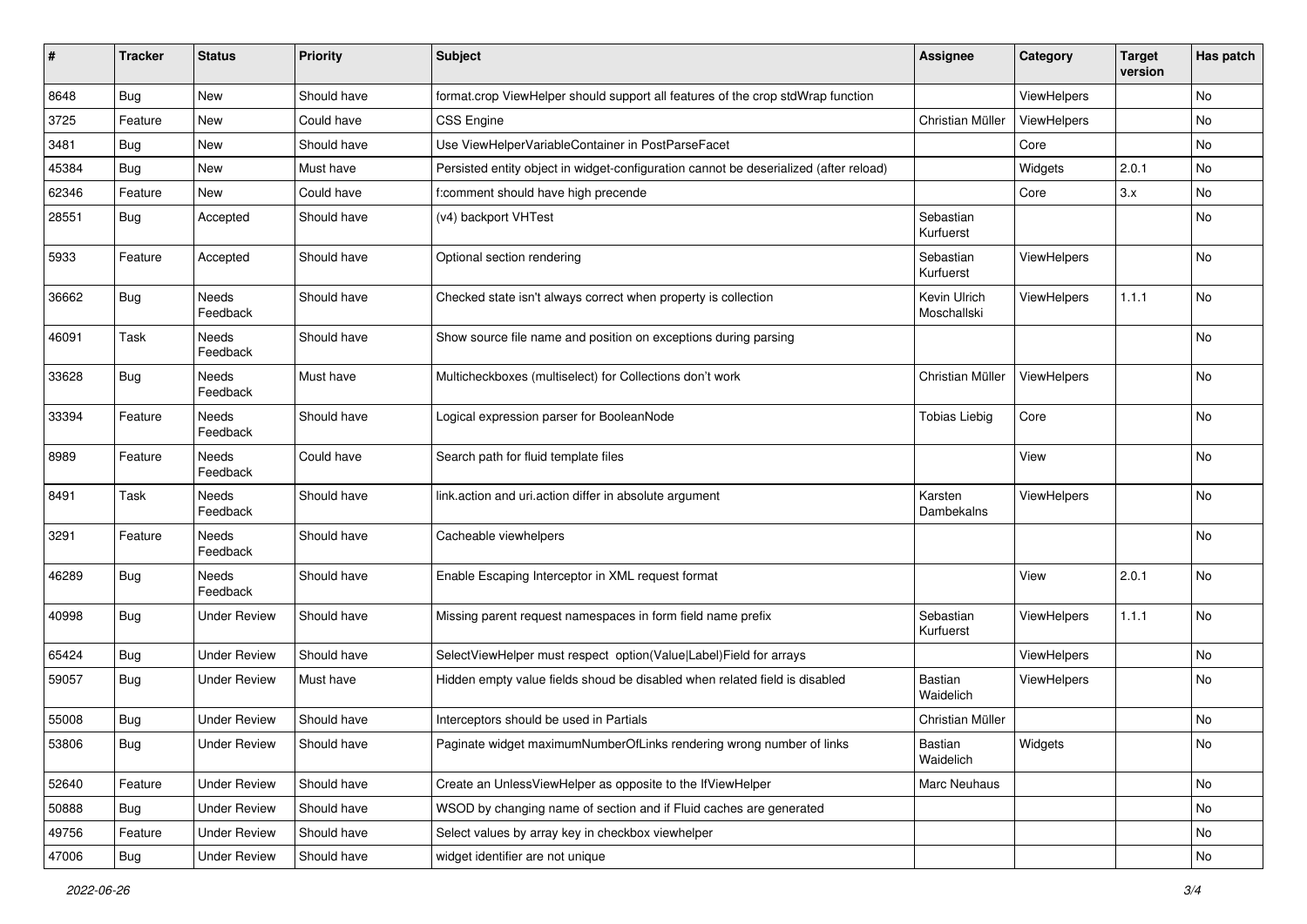| ∦     | <b>Tracker</b> | <b>Status</b>            | <b>Priority</b> | <b>Subject</b>                                                                        | <b>Assignee</b>             | Category    | <b>Target</b><br>version | Has patch |
|-------|----------------|--------------------------|-----------------|---------------------------------------------------------------------------------------|-----------------------------|-------------|--------------------------|-----------|
| 8648  | Bug            | New                      | Should have     | format.crop ViewHelper should support all features of the crop stdWrap function       |                             | ViewHelpers |                          | No        |
| 3725  | Feature        | New                      | Could have      | <b>CSS Engine</b>                                                                     | Christian Müller            | ViewHelpers |                          | No        |
| 3481  | Bug            | New                      | Should have     | Use ViewHelperVariableContainer in PostParseFacet                                     |                             | Core        |                          | No        |
| 45384 | <b>Bug</b>     | New                      | Must have       | Persisted entity object in widget-configuration cannot be deserialized (after reload) |                             | Widgets     | 2.0.1                    | No        |
| 62346 | Feature        | New                      | Could have      | f:comment should have high precende                                                   |                             | Core        | 3.x                      | No        |
| 28551 | Bug            | Accepted                 | Should have     | (v4) backport VHTest                                                                  | Sebastian<br>Kurfuerst      |             |                          | No.       |
| 5933  | Feature        | Accepted                 | Should have     | Optional section rendering                                                            | Sebastian<br>Kurfuerst      | ViewHelpers |                          | No        |
| 36662 | Bug            | Needs<br>Feedback        | Should have     | Checked state isn't always correct when property is collection                        | Kevin Ulrich<br>Moschallski | ViewHelpers | 1.1.1                    | No        |
| 46091 | Task           | <b>Needs</b><br>Feedback | Should have     | Show source file name and position on exceptions during parsing                       |                             |             |                          | No        |
| 33628 | <b>Bug</b>     | Needs<br>Feedback        | Must have       | Multicheckboxes (multiselect) for Collections don't work                              | Christian Müller            | ViewHelpers |                          | No        |
| 33394 | Feature        | Needs<br>Feedback        | Should have     | Logical expression parser for BooleanNode                                             | <b>Tobias Liebig</b>        | Core        |                          | No        |
| 8989  | Feature        | Needs<br>Feedback        | Could have      | Search path for fluid template files                                                  |                             | View        |                          | No        |
| 8491  | Task           | <b>Needs</b><br>Feedback | Should have     | link.action and uri.action differ in absolute argument                                | Karsten<br>Dambekalns       | ViewHelpers |                          | <b>No</b> |
| 3291  | Feature        | Needs<br>Feedback        | Should have     | Cacheable viewhelpers                                                                 |                             |             |                          | No        |
| 46289 | Bug            | Needs<br>Feedback        | Should have     | Enable Escaping Interceptor in XML request format                                     |                             | View        | 2.0.1                    | No        |
| 40998 | <b>Bug</b>     | <b>Under Review</b>      | Should have     | Missing parent request namespaces in form field name prefix                           | Sebastian<br>Kurfuerst      | ViewHelpers | 1.1.1                    | No        |
| 65424 | Bug            | <b>Under Review</b>      | Should have     | SelectViewHelper must respect option(Value Label)Field for arrays                     |                             | ViewHelpers |                          | No        |
| 59057 | Bug            | <b>Under Review</b>      | Must have       | Hidden empty value fields shoud be disabled when related field is disabled            | Bastian<br>Waidelich        | ViewHelpers |                          | No        |
| 55008 | <b>Bug</b>     | <b>Under Review</b>      | Should have     | Interceptors should be used in Partials                                               | Christian Müller            |             |                          | No        |
| 53806 | <b>Bug</b>     | <b>Under Review</b>      | Should have     | Paginate widget maximumNumberOfLinks rendering wrong number of links                  | Bastian<br>Waidelich        | Widgets     |                          | No        |
| 52640 | Feature        | <b>Under Review</b>      | Should have     | Create an UnlessViewHelper as opposite to the IfViewHelper                            | Marc Neuhaus                |             |                          | No        |
| 50888 | <b>Bug</b>     | <b>Under Review</b>      | Should have     | WSOD by changing name of section and if Fluid caches are generated                    |                             |             |                          | No        |
| 49756 | Feature        | <b>Under Review</b>      | Should have     | Select values by array key in checkbox viewhelper                                     |                             |             |                          | No        |
| 47006 | <b>Bug</b>     | <b>Under Review</b>      | Should have     | widget identifier are not unique                                                      |                             |             |                          | No        |